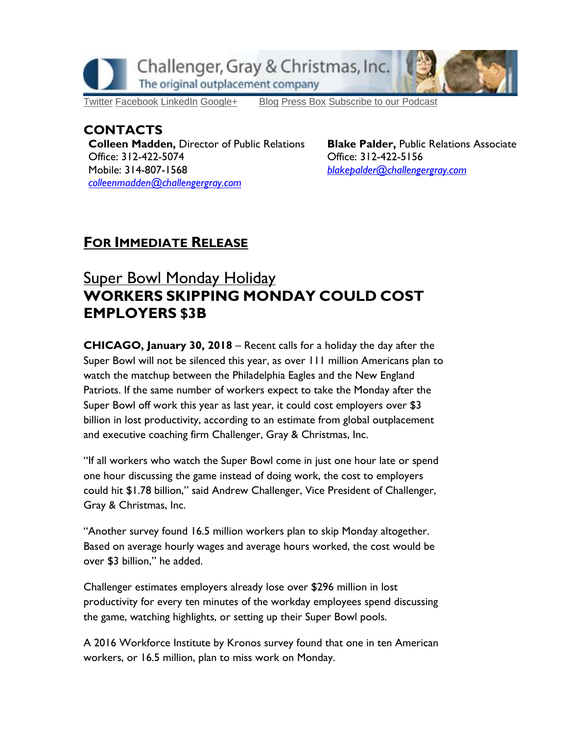

## **CONTACTS**

**Colleen Madden, Director of Public Relations Office: 312-422-5074 Mobile: 314-807-1568** *[colleenmadden@challengergray.com](mailto:colleenmadden@challengergray.com)* 

**Blake Palder, Public Relations Associate Office: 312-422-5156** *[blakepalder@challengergray.com](mailto:blakepalder@challengergray.com)*

## **FOR IMMEDIATE RELEASE**

## **Super Bowl Monday Holiday WORKERS SKIPPING MONDAY COULD COST EMPLOYERS \$3B**

**CHICAGO, January 30, 2018 – Recent calls for a holiday the day after the Super Bowl will not be silenced this year, as over 111 million Americans plan to watch the matchup between the Philadelphia Eagles and the New England Patriots. If the same number of workers expect to take the Monday after the Super Bowl off work this year as last year, it could cost employers over \$3 billion in lost productivity, according to an estimate from global outplacement and executive coaching firm Challenger, Gray & Christmas, Inc.**

**"If all workers who watch the Super Bowl come in just one hour late or spend one hour discussing the game instead of doing work, the cost to employers could hit \$1.78 billion," said Andrew Challenger, Vice President of Challenger, Gray & Christmas, Inc.**

**"Another survey found 16.5 million workers plan to skip Monday altogether. Based on average hourly wages and average hours worked, the cost would be over \$3 billion," he added.**

**Challenger estimates employers already lose over \$296 million in lost productivity for every ten minutes of the workday employees spend discussing the game, watching highlights, or setting up their Super Bowl pools.** 

**A 2016 Workforce Institute by Kronos survey found that one in ten American workers, or 16.5 million, plan to miss work on Monday.**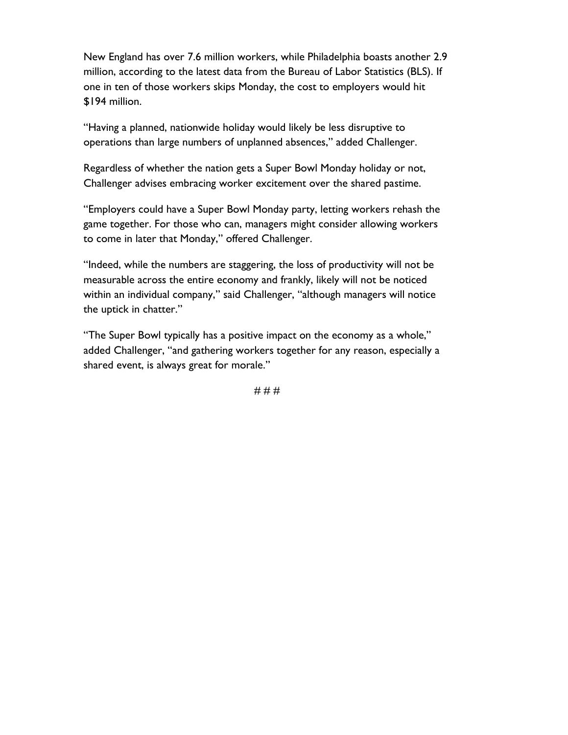**New England has over 7.6 million workers, while Philadelphia boasts another 2.9 million, according to the latest data from the Bureau of Labor Statistics (BLS). If one in ten of those workers skips Monday, the cost to employers would hit \$194 million.**

**"Having a planned, nationwide holiday would likely be less disruptive to operations than large numbers of unplanned absences," added Challenger.**

**Regardless of whether the nation gets a Super Bowl Monday holiday or not, Challenger advises embracing worker excitement over the shared pastime.** 

**"Employers could have a Super Bowl Monday party, letting workers rehash the game together. For those who can, managers might consider allowing workers to come in later that Monday," offered Challenger.**

**"Indeed, while the numbers are staggering, the loss of productivity will not be measurable across the entire economy and frankly, likely will not be noticed within an individual company," said Challenger, "although managers will notice the uptick in chatter."**

**"The Super Bowl typically has a positive impact on the economy as a whole," added Challenger, "and gathering workers together for any reason, especially a shared event, is always great for morale."**

**# # #**